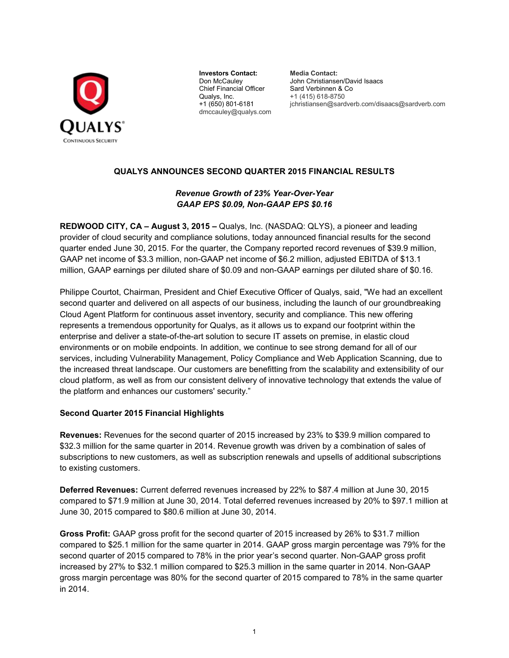

**Investors Contact: Media Contact:**  Chief Financial Officer Sard Verbinnen & Co Qualys, Inc. +1 (415) 618-8750 dmccauley@qualys.com

Don McCauley John Christiansen/David Isaacs jchristiansen@sardverb.com/disaacs@sardverb.com

# **QUALYS ANNOUNCES SECOND QUARTER 2015 FINANCIAL RESULTS**

# *Revenue Growth of 23% Year-Over-Year GAAP EPS \$0.09, Non-GAAP EPS \$0.16*

**REDWOOD CITY, CA – August 3, 2015 –** Qualys, Inc. (NASDAQ: QLYS), a pioneer and leading provider of cloud security and compliance solutions, today announced financial results for the second quarter ended June 30, 2015. For the quarter, the Company reported record revenues of \$39.9 million, GAAP net income of \$3.3 million, non-GAAP net income of \$6.2 million, adjusted EBITDA of \$13.1 million, GAAP earnings per diluted share of \$0.09 and non-GAAP earnings per diluted share of \$0.16.

Philippe Courtot, Chairman, President and Chief Executive Officer of Qualys, said, "We had an excellent second quarter and delivered on all aspects of our business, including the launch of our groundbreaking Cloud Agent Platform for continuous asset inventory, security and compliance. This new offering represents a tremendous opportunity for Qualys, as it allows us to expand our footprint within the enterprise and deliver a state-of-the-art solution to secure IT assets on premise, in elastic cloud environments or on mobile endpoints. In addition, we continue to see strong demand for all of our services, including Vulnerability Management, Policy Compliance and Web Application Scanning, due to the increased threat landscape. Our customers are benefitting from the scalability and extensibility of our cloud platform, as well as from our consistent delivery of innovative technology that extends the value of the platform and enhances our customers' security."

# **Second Quarter 2015 Financial Highlights**

**Revenues:** Revenues for the second quarter of 2015 increased by 23% to \$39.9 million compared to \$32.3 million for the same quarter in 2014. Revenue growth was driven by a combination of sales of subscriptions to new customers, as well as subscription renewals and upsells of additional subscriptions to existing customers.

**Deferred Revenues:** Current deferred revenues increased by 22% to \$87.4 million at June 30, 2015 compared to \$71.9 million at June 30, 2014. Total deferred revenues increased by 20% to \$97.1 million at June 30, 2015 compared to \$80.6 million at June 30, 2014.

**Gross Profit:** GAAP gross profit for the second quarter of 2015 increased by 26% to \$31.7 million compared to \$25.1 million for the same quarter in 2014. GAAP gross margin percentage was 79% for the second quarter of 2015 compared to 78% in the prior year's second quarter. Non-GAAP gross profit increased by 27% to \$32.1 million compared to \$25.3 million in the same quarter in 2014. Non-GAAP gross margin percentage was 80% for the second quarter of 2015 compared to 78% in the same quarter in 2014.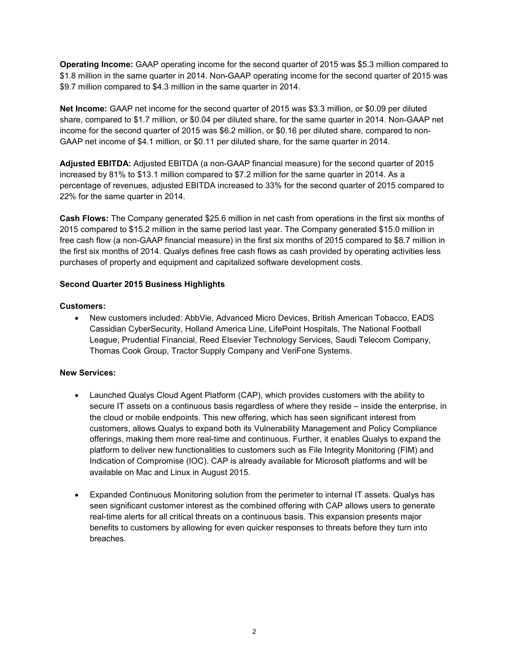**Operating Income:** GAAP operating income for the second quarter of 2015 was \$5.3 million compared to \$1.8 million in the same quarter in 2014. Non-GAAP operating income for the second quarter of 2015 was \$9.7 million compared to \$4.3 million in the same quarter in 2014.

**Net Income:** GAAP net income for the second quarter of 2015 was \$3.3 million, or \$0.09 per diluted share, compared to \$1.7 million, or \$0.04 per diluted share, for the same quarter in 2014. Non-GAAP net income for the second quarter of 2015 was \$6.2 million, or \$0.16 per diluted share, compared to non-GAAP net income of \$4.1 million, or \$0.11 per diluted share, for the same quarter in 2014.

**Adjusted EBITDA:** Adjusted EBITDA (a non-GAAP financial measure) for the second quarter of 2015 increased by 81% to \$13.1 million compared to \$7.2 million for the same quarter in 2014. As a percentage of revenues, adjusted EBITDA increased to 33% for the second quarter of 2015 compared to 22% for the same quarter in 2014.

**Cash Flows:** The Company generated \$25.6 million in net cash from operations in the first six months of 2015 compared to \$15.2 million in the same period last year. The Company generated \$15.0 million in free cash flow (a non-GAAP financial measure) in the first six months of 2015 compared to \$8.7 million in the first six months of 2014. Qualys defines free cash flows as cash provided by operating activities less purchases of property and equipment and capitalized software development costs.

# **Second Quarter 2015 Business Highlights**

# **Customers:**

• New customers included: AbbVie, Advanced Micro Devices, British American Tobacco, EADS Cassidian CyberSecurity, Holland America Line, LifePoint Hospitals, The National Football League, Prudential Financial, Reed Elsevier Technology Services, Saudi Telecom Company, Thomas Cook Group, Tractor Supply Company and VeriFone Systems.

# **New Services:**

- Launched Qualys Cloud Agent Platform (CAP), which provides customers with the ability to secure IT assets on a continuous basis regardless of where they reside – inside the enterprise, in the cloud or mobile endpoints. This new offering, which has seen significant interest from customers, allows Qualys to expand both its Vulnerability Management and Policy Compliance offerings, making them more real-time and continuous. Further, it enables Qualys to expand the platform to deliver new functionalities to customers such as File Integrity Monitoring (FIM) and Indication of Compromise (IOC). CAP is already available for Microsoft platforms and will be available on Mac and Linux in August 2015.
- Expanded Continuous Monitoring solution from the perimeter to internal IT assets. Qualys has seen significant customer interest as the combined offering with CAP allows users to generate real-time alerts for all critical threats on a continuous basis. This expansion presents major benefits to customers by allowing for even quicker responses to threats before they turn into breaches.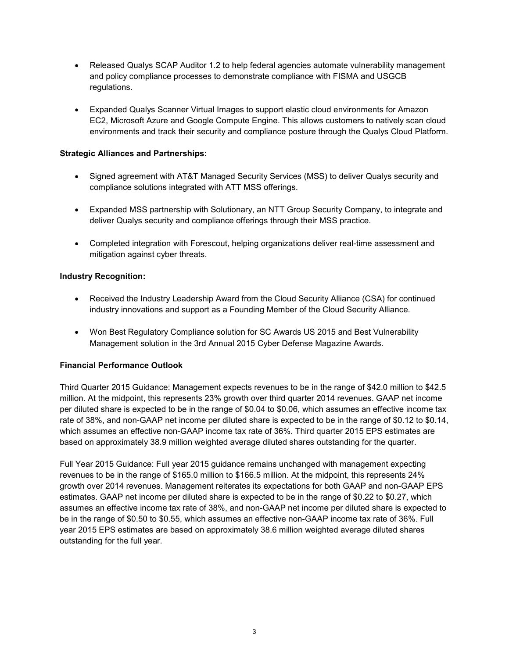- Released Qualys SCAP Auditor 1.2 to help federal agencies automate vulnerability management and policy compliance processes to demonstrate compliance with FISMA and USGCB regulations.
- Expanded Qualys Scanner Virtual Images to support elastic cloud environments for Amazon EC2, Microsoft Azure and Google Compute Engine. This allows customers to natively scan cloud environments and track their security and compliance posture through the Qualys Cloud Platform.

# **Strategic Alliances and Partnerships:**

- Signed agreement with AT&T Managed Security Services (MSS) to deliver Qualys security and compliance solutions integrated with ATT MSS offerings.
- Expanded MSS partnership with Solutionary, an NTT Group Security Company, to integrate and deliver Qualys security and compliance offerings through their MSS practice.
- Completed integration with Forescout, helping organizations deliver real-time assessment and mitigation against cyber threats.

# **Industry Recognition:**

- Received the Industry Leadership Award from the Cloud Security Alliance (CSA) for continued industry innovations and support as a Founding Member of the Cloud Security Alliance.
- Won Best Regulatory Compliance solution for SC Awards US 2015 and Best Vulnerability Management solution in the 3rd Annual 2015 Cyber Defense Magazine Awards.

# **Financial Performance Outlook**

Third Quarter 2015 Guidance: Management expects revenues to be in the range of \$42.0 million to \$42.5 million. At the midpoint, this represents 23% growth over third quarter 2014 revenues. GAAP net income per diluted share is expected to be in the range of \$0.04 to \$0.06, which assumes an effective income tax rate of 38%, and non-GAAP net income per diluted share is expected to be in the range of \$0.12 to \$0.14, which assumes an effective non-GAAP income tax rate of 36%. Third quarter 2015 EPS estimates are based on approximately 38.9 million weighted average diluted shares outstanding for the quarter.

Full Year 2015 Guidance: Full year 2015 guidance remains unchanged with management expecting revenues to be in the range of \$165.0 million to \$166.5 million. At the midpoint, this represents 24% growth over 2014 revenues. Management reiterates its expectations for both GAAP and non-GAAP EPS estimates. GAAP net income per diluted share is expected to be in the range of \$0.22 to \$0.27, which assumes an effective income tax rate of 38%, and non-GAAP net income per diluted share is expected to be in the range of \$0.50 to \$0.55, which assumes an effective non-GAAP income tax rate of 36%. Full year 2015 EPS estimates are based on approximately 38.6 million weighted average diluted shares outstanding for the full year.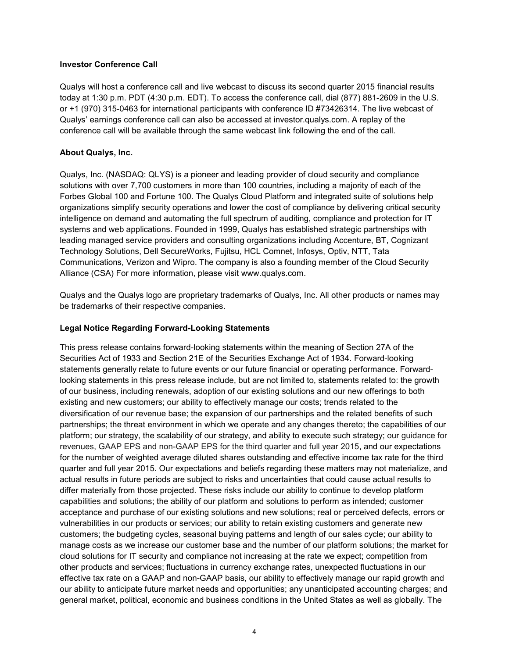## **Investor Conference Call**

Qualys will host a conference call and live webcast to discuss its second quarter 2015 financial results today at 1:30 p.m. PDT (4:30 p.m. EDT). To access the conference call, dial (877) 881-2609 in the U.S. or +1 (970) 315-0463 for international participants with conference ID #73426314. The live webcast of Qualys' earnings conference call can also be accessed at investor.qualys.com. A replay of the conference call will be available through the same webcast link following the end of the call.

## **About Qualys, Inc.**

Qualys, Inc. (NASDAQ: QLYS) is a pioneer and leading provider of cloud security and compliance solutions with over 7,700 customers in more than 100 countries, including a majority of each of the Forbes Global 100 and Fortune 100. The Qualys Cloud Platform and integrated suite of solutions help organizations simplify security operations and lower the cost of compliance by delivering critical security intelligence on demand and automating the full spectrum of auditing, compliance and protection for IT systems and web applications. Founded in 1999, Qualys has established strategic partnerships with leading managed service providers and consulting organizations including Accenture, BT, Cognizant Technology Solutions, Dell SecureWorks, Fujitsu, HCL Comnet, Infosys, Optiv, NTT, Tata Communications, Verizon and Wipro. The company is also a founding member of the Cloud Security Alliance (CSA) For more information, please visit www.qualys.com.

Qualys and the Qualys logo are proprietary trademarks of Qualys, Inc. All other products or names may be trademarks of their respective companies.

#### **Legal Notice Regarding Forward-Looking Statements**

This press release contains forward-looking statements within the meaning of Section 27A of the Securities Act of 1933 and Section 21E of the Securities Exchange Act of 1934. Forward-looking statements generally relate to future events or our future financial or operating performance. Forwardlooking statements in this press release include, but are not limited to, statements related to: the growth of our business, including renewals, adoption of our existing solutions and our new offerings to both existing and new customers; our ability to effectively manage our costs; trends related to the diversification of our revenue base; the expansion of our partnerships and the related benefits of such partnerships; the threat environment in which we operate and any changes thereto; the capabilities of our platform; our strategy, the scalability of our strategy, and ability to execute such strategy; our guidance for revenues, GAAP EPS and non-GAAP EPS for the third quarter and full year 2015, and our expectations for the number of weighted average diluted shares outstanding and effective income tax rate for the third quarter and full year 2015. Our expectations and beliefs regarding these matters may not materialize, and actual results in future periods are subject to risks and uncertainties that could cause actual results to differ materially from those projected. These risks include our ability to continue to develop platform capabilities and solutions; the ability of our platform and solutions to perform as intended; customer acceptance and purchase of our existing solutions and new solutions; real or perceived defects, errors or vulnerabilities in our products or services; our ability to retain existing customers and generate new customers; the budgeting cycles, seasonal buying patterns and length of our sales cycle; our ability to manage costs as we increase our customer base and the number of our platform solutions; the market for cloud solutions for IT security and compliance not increasing at the rate we expect; competition from other products and services; fluctuations in currency exchange rates, unexpected fluctuations in our effective tax rate on a GAAP and non-GAAP basis, our ability to effectively manage our rapid growth and our ability to anticipate future market needs and opportunities; any unanticipated accounting charges; and general market, political, economic and business conditions in the United States as well as globally. The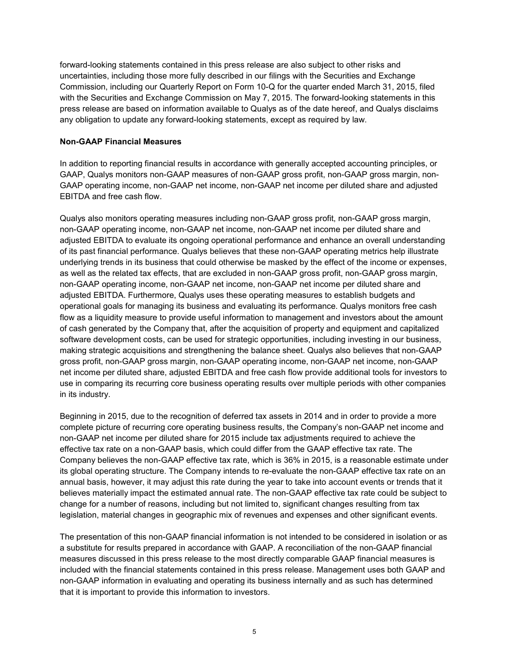forward-looking statements contained in this press release are also subject to other risks and uncertainties, including those more fully described in our filings with the Securities and Exchange Commission, including our Quarterly Report on Form 10-Q for the quarter ended March 31, 2015, filed with the Securities and Exchange Commission on May 7, 2015. The forward-looking statements in this press release are based on information available to Qualys as of the date hereof, and Qualys disclaims any obligation to update any forward-looking statements, except as required by law.

### **Non-GAAP Financial Measures**

In addition to reporting financial results in accordance with generally accepted accounting principles, or GAAP, Qualys monitors non-GAAP measures of non-GAAP gross profit, non-GAAP gross margin, non-GAAP operating income, non-GAAP net income, non-GAAP net income per diluted share and adjusted EBITDA and free cash flow.

Qualys also monitors operating measures including non-GAAP gross profit, non-GAAP gross margin, non-GAAP operating income, non-GAAP net income, non-GAAP net income per diluted share and adjusted EBITDA to evaluate its ongoing operational performance and enhance an overall understanding of its past financial performance. Qualys believes that these non-GAAP operating metrics help illustrate underlying trends in its business that could otherwise be masked by the effect of the income or expenses, as well as the related tax effects, that are excluded in non-GAAP gross profit, non-GAAP gross margin, non-GAAP operating income, non-GAAP net income, non-GAAP net income per diluted share and adjusted EBITDA. Furthermore, Qualys uses these operating measures to establish budgets and operational goals for managing its business and evaluating its performance. Qualys monitors free cash flow as a liquidity measure to provide useful information to management and investors about the amount of cash generated by the Company that, after the acquisition of property and equipment and capitalized software development costs, can be used for strategic opportunities, including investing in our business, making strategic acquisitions and strengthening the balance sheet. Qualys also believes that non-GAAP gross profit, non-GAAP gross margin, non-GAAP operating income, non-GAAP net income, non-GAAP net income per diluted share, adjusted EBITDA and free cash flow provide additional tools for investors to use in comparing its recurring core business operating results over multiple periods with other companies in its industry.

Beginning in 2015, due to the recognition of deferred tax assets in 2014 and in order to provide a more complete picture of recurring core operating business results, the Company's non-GAAP net income and non-GAAP net income per diluted share for 2015 include tax adjustments required to achieve the effective tax rate on a non-GAAP basis, which could differ from the GAAP effective tax rate. The Company believes the non-GAAP effective tax rate, which is 36% in 2015, is a reasonable estimate under its global operating structure. The Company intends to re-evaluate the non-GAAP effective tax rate on an annual basis, however, it may adjust this rate during the year to take into account events or trends that it believes materially impact the estimated annual rate. The non-GAAP effective tax rate could be subject to change for a number of reasons, including but not limited to, significant changes resulting from tax legislation, material changes in geographic mix of revenues and expenses and other significant events.

The presentation of this non-GAAP financial information is not intended to be considered in isolation or as a substitute for results prepared in accordance with GAAP. A reconciliation of the non-GAAP financial measures discussed in this press release to the most directly comparable GAAP financial measures is included with the financial statements contained in this press release. Management uses both GAAP and non-GAAP information in evaluating and operating its business internally and as such has determined that it is important to provide this information to investors.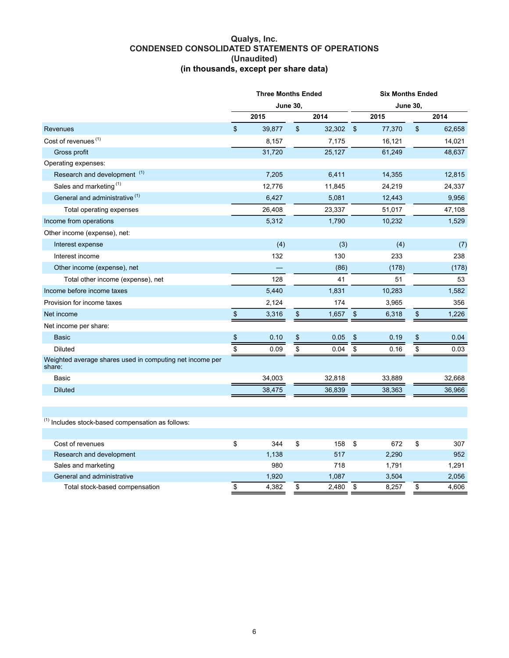#### **Qualys, Inc. CONDENSED CONSOLIDATED STATEMENTS OF OPERATIONS (Unaudited) (in thousands, except per share data)**

|                                                                    | <b>Three Months Ended</b><br><b>June 30,</b> |        |    |        |                 |        | <b>Six Months Ended</b> |        |  |  |  |  |  |
|--------------------------------------------------------------------|----------------------------------------------|--------|----|--------|-----------------|--------|-------------------------|--------|--|--|--|--|--|
|                                                                    |                                              |        |    |        | <b>June 30,</b> |        |                         |        |  |  |  |  |  |
|                                                                    |                                              | 2015   |    | 2014   |                 | 2015   |                         | 2014   |  |  |  |  |  |
| Revenues                                                           | \$                                           | 39,877 | \$ | 32,302 | $\mathsf{\$}$   | 77,370 | \$                      | 62,658 |  |  |  |  |  |
| Cost of revenues <sup>(1)</sup>                                    |                                              | 8,157  |    | 7,175  |                 | 16,121 |                         | 14,021 |  |  |  |  |  |
| Gross profit                                                       |                                              | 31,720 |    | 25,127 |                 | 61,249 |                         | 48,637 |  |  |  |  |  |
| Operating expenses:                                                |                                              |        |    |        |                 |        |                         |        |  |  |  |  |  |
| Research and development <sup>(1)</sup>                            |                                              | 7,205  |    | 6,411  |                 | 14,355 |                         | 12,815 |  |  |  |  |  |
| Sales and marketing <sup>(1)</sup>                                 |                                              | 12,776 |    | 11,845 |                 | 24,219 |                         | 24,337 |  |  |  |  |  |
| General and administrative <sup>(1)</sup>                          |                                              | 6,427  |    | 5,081  |                 | 12,443 |                         | 9,956  |  |  |  |  |  |
| Total operating expenses                                           |                                              | 26,408 |    | 23,337 |                 | 51,017 |                         | 47,108 |  |  |  |  |  |
| Income from operations                                             |                                              | 5,312  |    | 1,790  |                 | 10,232 |                         | 1,529  |  |  |  |  |  |
| Other income (expense), net:                                       |                                              |        |    |        |                 |        |                         |        |  |  |  |  |  |
| Interest expense                                                   |                                              | (4)    |    | (3)    |                 | (4)    |                         | (7)    |  |  |  |  |  |
| Interest income                                                    |                                              | 132    |    | 130    |                 | 233    |                         | 238    |  |  |  |  |  |
| Other income (expense), net                                        |                                              |        |    | (86)   |                 | (178)  |                         | (178)  |  |  |  |  |  |
| Total other income (expense), net                                  |                                              | 128    |    | 41     |                 | 51     |                         | 53     |  |  |  |  |  |
| Income before income taxes                                         |                                              | 5,440  |    | 1,831  |                 | 10,283 |                         | 1,582  |  |  |  |  |  |
| Provision for income taxes                                         |                                              | 2,124  |    | 174    |                 | 3,965  |                         | 356    |  |  |  |  |  |
| Net income                                                         | \$                                           | 3,316  | \$ | 1,657  | \$              | 6,318  | \$                      | 1,226  |  |  |  |  |  |
| Net income per share:                                              |                                              |        |    |        |                 |        |                         |        |  |  |  |  |  |
| <b>Basic</b>                                                       | $\pmb{\mathfrak{P}}$                         | 0.10   | \$ | 0.05   | \$              | 0.19   | $\,$                    | 0.04   |  |  |  |  |  |
| <b>Diluted</b>                                                     | \$                                           | 0.09   | \$ | 0.04   | \$              | 0.16   | \$                      | 0.03   |  |  |  |  |  |
| Weighted average shares used in computing net income per<br>share: |                                              |        |    |        |                 |        |                         |        |  |  |  |  |  |
| Basic                                                              |                                              | 34,003 |    | 32,818 |                 | 33,889 |                         | 32,668 |  |  |  |  |  |
| <b>Diluted</b>                                                     |                                              | 38,475 |    | 36,839 |                 | 38,363 |                         | 36,966 |  |  |  |  |  |
|                                                                    |                                              |        |    |        |                 |        |                         |        |  |  |  |  |  |
| <sup>(1)</sup> Includes stock-based compensation as follows:       |                                              |        |    |        |                 |        |                         |        |  |  |  |  |  |
|                                                                    |                                              |        |    |        |                 |        |                         |        |  |  |  |  |  |
| Cost of revenues                                                   | \$                                           | 344    | \$ | 158    | \$              | 672    | \$                      | 307    |  |  |  |  |  |
| Research and development                                           |                                              | 1,138  |    | 517    |                 | 2,290  |                         | 952    |  |  |  |  |  |
| Sales and marketing                                                |                                              | 980    |    | 718    |                 | 1,791  |                         | 1,291  |  |  |  |  |  |
| General and administrative                                         |                                              | 1,920  |    | 1,087  |                 | 3,504  |                         | 2,056  |  |  |  |  |  |
| Total stock-based compensation                                     | \$                                           | 4,382  | \$ | 2,480  | \$              | 8,257  | \$                      | 4,606  |  |  |  |  |  |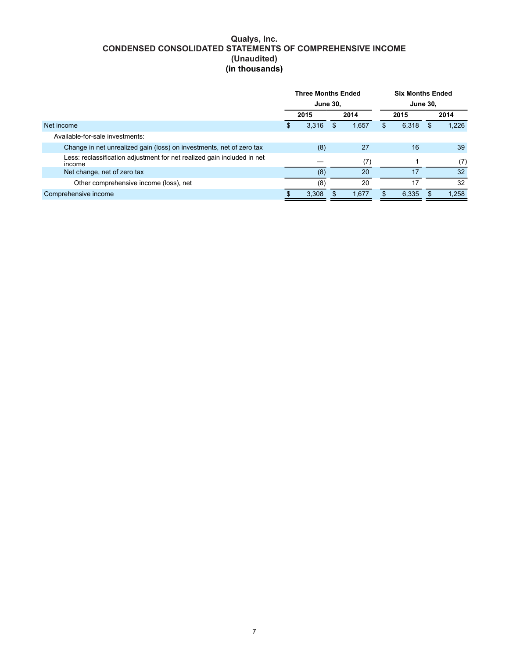# **Qualys, Inc. CONDENSED CONSOLIDATED STATEMENTS OF COMPREHENSIVE INCOME (Unaudited) (in thousands)**

|                                                                                   | <b>Three Months Ended</b><br><b>June 30,</b> |       |      |       |     | <b>Six Months Ended</b> |                 |       |  |  |  |
|-----------------------------------------------------------------------------------|----------------------------------------------|-------|------|-------|-----|-------------------------|-----------------|-------|--|--|--|
|                                                                                   |                                              |       |      |       |     |                         | <b>June 30.</b> |       |  |  |  |
|                                                                                   | 2015                                         |       | 2014 |       |     | 2015                    |                 | 2014  |  |  |  |
| Net income                                                                        | \$.                                          | 3,316 | S    | 1,657 | \$. | 6,318                   | S.              | 1.226 |  |  |  |
| Available-for-sale investments:                                                   |                                              |       |      |       |     |                         |                 |       |  |  |  |
| Change in net unrealized gain (loss) on investments, net of zero tax              |                                              | (8)   |      | 27    |     | 16                      |                 | 39    |  |  |  |
| Less: reclassification adjustment for net realized gain included in net<br>income |                                              |       |      | (7)   |     |                         |                 | (7)   |  |  |  |
| Net change, net of zero tax                                                       |                                              | (8)   |      | 20    |     | 17                      |                 | 32    |  |  |  |
| Other comprehensive income (loss), net                                            |                                              | (8)   |      | 20    |     | 17                      |                 | 32    |  |  |  |
| Comprehensive income                                                              |                                              | 3.308 |      | 1.677 |     | 6,335                   | -96             | 1,258 |  |  |  |
|                                                                                   |                                              |       |      |       |     |                         |                 |       |  |  |  |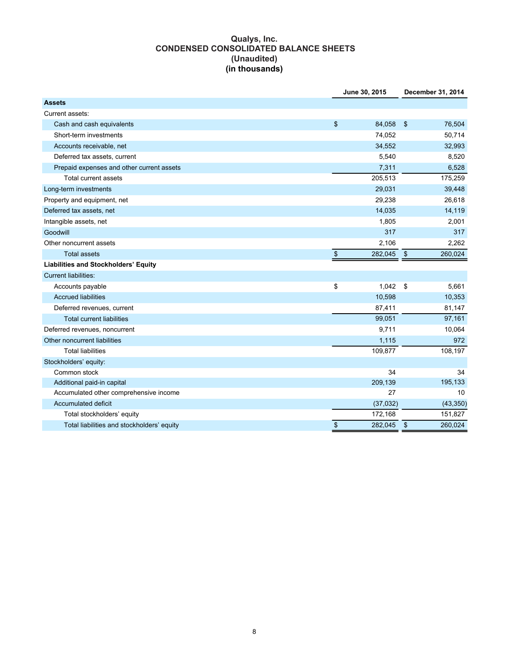# **Qualys, Inc. CONDENSED CONSOLIDATED BALANCE SHEETS (Unaudited) (in thousands)**

|                                            | June 30, 2015 | December 31, 2014 |           |  |  |
|--------------------------------------------|---------------|-------------------|-----------|--|--|
| <b>Assets</b>                              |               |                   |           |  |  |
| Current assets:                            |               |                   |           |  |  |
| Cash and cash equivalents                  | \$<br>84,058  | $\sqrt{3}$        | 76,504    |  |  |
| Short-term investments                     | 74,052        |                   | 50,714    |  |  |
| Accounts receivable, net                   | 34,552        |                   | 32,993    |  |  |
| Deferred tax assets, current               | 5,540         |                   | 8,520     |  |  |
| Prepaid expenses and other current assets  | 7,311         |                   | 6,528     |  |  |
| <b>Total current assets</b>                | 205,513       |                   | 175,259   |  |  |
| Long-term investments                      | 29,031        |                   | 39,448    |  |  |
| Property and equipment, net                | 29,238        |                   | 26,618    |  |  |
| Deferred tax assets, net                   | 14,035        |                   | 14,119    |  |  |
| Intangible assets, net                     | 1,805         |                   | 2,001     |  |  |
| Goodwill                                   | 317           |                   | 317       |  |  |
| Other noncurrent assets                    | 2,106         |                   | 2,262     |  |  |
| <b>Total assets</b>                        | \$<br>282,045 | $\frac{1}{2}$     | 260,024   |  |  |
| Liabilities and Stockholders' Equity       |               |                   |           |  |  |
| <b>Current liabilities:</b>                |               |                   |           |  |  |
| Accounts payable                           | \$<br>1,042   | $^{\circ}$        | 5,661     |  |  |
| <b>Accrued liabilities</b>                 | 10,598        |                   | 10,353    |  |  |
| Deferred revenues, current                 | 87,411        |                   | 81,147    |  |  |
| <b>Total current liabilities</b>           | 99,051        |                   | 97,161    |  |  |
| Deferred revenues, noncurrent              | 9,711         |                   | 10,064    |  |  |
| Other noncurrent liabilities               | 1,115         |                   | 972       |  |  |
| <b>Total liabilities</b>                   | 109,877       |                   | 108,197   |  |  |
| Stockholders' equity:                      |               |                   |           |  |  |
| Common stock                               | 34            |                   | 34        |  |  |
| Additional paid-in capital                 | 209,139       |                   | 195,133   |  |  |
| Accumulated other comprehensive income     | 27            |                   | 10        |  |  |
| Accumulated deficit                        | (37,032)      |                   | (43, 350) |  |  |
| Total stockholders' equity                 | 172,168       |                   | 151,827   |  |  |
| Total liabilities and stockholders' equity | \$<br>282,045 | $\mathfrak{S}$    | 260,024   |  |  |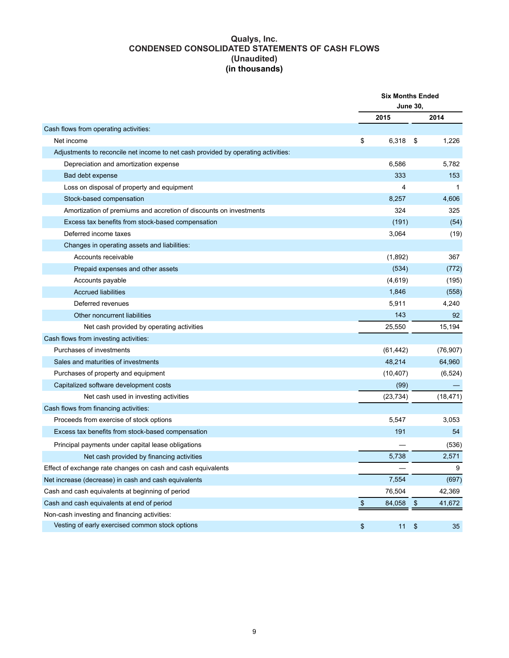### **Qualys, Inc. CONDENSED CONSOLIDATED STATEMENTS OF CASH FLOWS (Unaudited) (in thousands)**

|                                                                                   | <b>Six Months Ended</b><br><b>June 30,</b> |                           |           |  |  |
|-----------------------------------------------------------------------------------|--------------------------------------------|---------------------------|-----------|--|--|
|                                                                                   | 2015                                       |                           | 2014      |  |  |
| Cash flows from operating activities:                                             |                                            |                           |           |  |  |
| Net income                                                                        | \$<br>6,318                                | \$                        | 1,226     |  |  |
| Adjustments to reconcile net income to net cash provided by operating activities: |                                            |                           |           |  |  |
| Depreciation and amortization expense                                             | 6,586                                      |                           | 5,782     |  |  |
| Bad debt expense                                                                  | 333                                        |                           | 153       |  |  |
| Loss on disposal of property and equipment                                        | 4                                          |                           | 1         |  |  |
| Stock-based compensation                                                          | 8,257                                      |                           | 4,606     |  |  |
| Amortization of premiums and accretion of discounts on investments                | 324                                        |                           | 325       |  |  |
| Excess tax benefits from stock-based compensation                                 | (191)                                      |                           | (54)      |  |  |
| Deferred income taxes                                                             | 3,064                                      |                           | (19)      |  |  |
| Changes in operating assets and liabilities:                                      |                                            |                           |           |  |  |
| Accounts receivable                                                               | (1,892)                                    |                           | 367       |  |  |
| Prepaid expenses and other assets                                                 | (534)                                      |                           | (772)     |  |  |
| Accounts payable                                                                  | (4,619)                                    |                           | (195)     |  |  |
| <b>Accrued liabilities</b>                                                        | 1,846                                      |                           | (558)     |  |  |
| Deferred revenues                                                                 | 5,911                                      |                           | 4,240     |  |  |
| Other noncurrent liabilities                                                      | 143                                        |                           | 92        |  |  |
| Net cash provided by operating activities                                         | 25,550                                     |                           | 15,194    |  |  |
| Cash flows from investing activities:                                             |                                            |                           |           |  |  |
| Purchases of investments                                                          | (61, 442)                                  |                           | (76, 907) |  |  |
| Sales and maturities of investments                                               | 48,214                                     |                           | 64,960    |  |  |
| Purchases of property and equipment                                               | (10, 407)                                  |                           | (6, 524)  |  |  |
| Capitalized software development costs                                            | (99)                                       |                           |           |  |  |
| Net cash used in investing activities                                             | (23, 734)                                  |                           | (18, 471) |  |  |
| Cash flows from financing activities:                                             |                                            |                           |           |  |  |
| Proceeds from exercise of stock options                                           | 5,547                                      |                           | 3,053     |  |  |
| Excess tax benefits from stock-based compensation                                 | 191                                        |                           | 54        |  |  |
| Principal payments under capital lease obligations                                |                                            |                           | (536)     |  |  |
| Net cash provided by financing activities                                         | 5,738                                      |                           | 2,571     |  |  |
| Effect of exchange rate changes on cash and cash equivalents                      |                                            |                           | 9         |  |  |
| Net increase (decrease) in cash and cash equivalents                              | 7,554                                      |                           | (697)     |  |  |
| Cash and cash equivalents at beginning of period                                  | 76,504                                     |                           | 42,369    |  |  |
| Cash and cash equivalents at end of period                                        | \$<br>84,058                               | $\frac{1}{2}$             | 41,672    |  |  |
| Non-cash investing and financing activities:                                      |                                            |                           |           |  |  |
| Vesting of early exercised common stock options                                   | \$<br>11                                   | $\boldsymbol{\mathsf{S}}$ | 35        |  |  |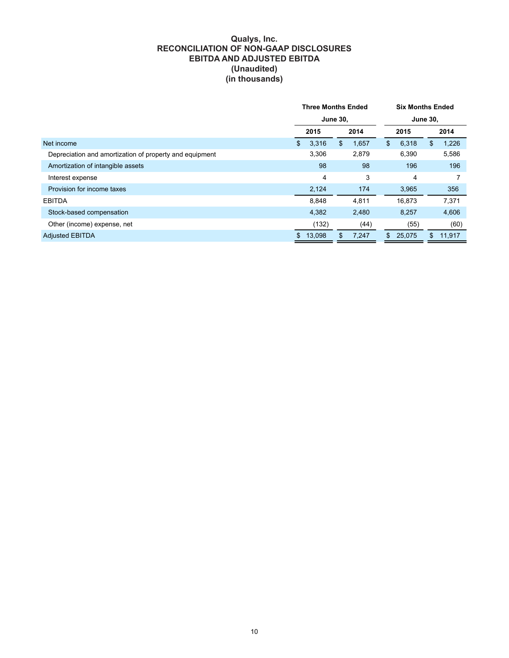## **Qualys, Inc. RECONCILIATION OF NON-GAAP DISCLOSURES EBITDA AND ADJUSTED EBITDA (Unaudited) (in thousands)**

|                                                         | <b>Three Months Ended</b> |        |      |       |     | <b>Six Months Ended</b> |      |        |  |      |
|---------------------------------------------------------|---------------------------|--------|------|-------|-----|-------------------------|------|--------|--|------|
|                                                         | <b>June 30,</b>           |        |      |       |     | <b>June 30,</b>         |      |        |  |      |
|                                                         | 2015                      |        | 2014 |       |     |                         | 2015 |        |  | 2014 |
| Net income                                              | \$                        | 3,316  | \$   | 1,657 | \$  | 6,318                   | \$   | 1,226  |  |      |
| Depreciation and amortization of property and equipment |                           | 3,306  |      | 2,879 |     | 6,390                   |      | 5,586  |  |      |
| Amortization of intangible assets                       |                           | 98     |      | 98    |     | 196                     |      | 196    |  |      |
| Interest expense                                        |                           | 4      |      | 3     |     | 4                       |      | 7      |  |      |
| Provision for income taxes                              |                           | 2,124  |      | 174   |     | 3,965                   |      | 356    |  |      |
| <b>EBITDA</b>                                           |                           | 8.848  |      | 4,811 |     | 16.873                  |      | 7,371  |  |      |
| Stock-based compensation                                |                           | 4,382  |      | 2,480 |     | 8,257                   |      | 4,606  |  |      |
| Other (income) expense, net                             |                           | (132)  |      | (44)  |     | (55)                    |      | (60)   |  |      |
| <b>Adjusted EBITDA</b>                                  | \$                        | 13,098 | \$   | 7,247 | \$. | 25,075                  | S.   | 11,917 |  |      |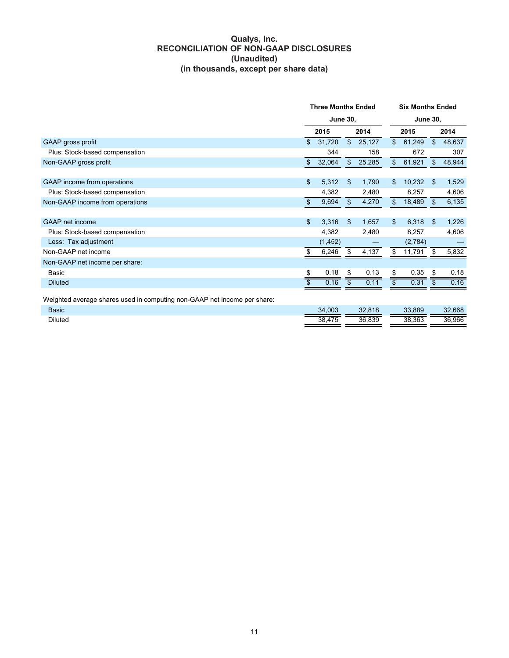## **Qualys, Inc. RECONCILIATION OF NON-GAAP DISCLOSURES (Unaudited) (in thousands, except per share data)**

|                                                                          |    | <b>Three Months Ended</b><br><b>June 30,</b> |              |        |                 | <b>Six Months Ended</b> |    |        |  |  |
|--------------------------------------------------------------------------|----|----------------------------------------------|--------------|--------|-----------------|-------------------------|----|--------|--|--|
|                                                                          |    |                                              |              |        |                 | <b>June 30,</b>         |    |        |  |  |
|                                                                          |    | 2015                                         |              | 2014   |                 | 2015                    |    | 2014   |  |  |
| GAAP gross profit                                                        | \$ | 31,720                                       | $\mathbb{S}$ | 25,127 | \$              | 61,249                  | \$ | 48,637 |  |  |
| Plus: Stock-based compensation                                           |    | 344                                          |              | 158    |                 | 672                     |    | 307    |  |  |
| Non-GAAP gross profit                                                    | \$ | 32,064                                       | \$           | 25,285 | \$              | 61,921                  | \$ | 48,944 |  |  |
|                                                                          |    |                                              |              |        |                 |                         |    |        |  |  |
| GAAP income from operations                                              | \$ | 5,312                                        | \$           | 1,790  | \$              | 10,232                  | \$ | 1,529  |  |  |
| Plus: Stock-based compensation                                           |    | 4,382                                        |              | 2,480  |                 | 8,257                   |    | 4,606  |  |  |
| Non-GAAP income from operations                                          | \$ | 9,694                                        | \$           | 4,270  | \$              | 18,489                  | \$ | 6,135  |  |  |
|                                                                          |    |                                              |              |        |                 |                         |    |        |  |  |
| GAAP net income                                                          | \$ | 3,316                                        | \$           | 1,657  | \$              | 6,318                   | \$ | 1,226  |  |  |
| Plus: Stock-based compensation                                           |    | 4,382                                        |              | 2,480  |                 | 8,257                   |    | 4,606  |  |  |
| Less: Tax adjustment                                                     |    | (1, 452)                                     |              |        |                 | (2,784)                 |    |        |  |  |
| Non-GAAP net income                                                      | S  | 6,246                                        | S            | 4,137  | \$              | 11,791                  |    | 5,832  |  |  |
| Non-GAAP net income per share:                                           |    |                                              |              |        |                 |                         |    |        |  |  |
| Basic                                                                    | S  | 0.18                                         | S            | 0.13   | \$              | 0.35                    | \$ | 0.18   |  |  |
| <b>Diluted</b>                                                           |    | 0.16                                         | \$           | 0.11   | $\overline{\$}$ | 0.31                    |    | 0.16   |  |  |
| Weighted average shares used in computing non-GAAP net income per share: |    |                                              |              |        |                 |                         |    |        |  |  |
| <b>Basic</b>                                                             |    | 34,003                                       |              | 32,818 |                 | 33,889                  |    | 32,668 |  |  |
| <b>Diluted</b>                                                           |    | 38,475                                       |              | 36,839 |                 | 38,363                  |    | 36,966 |  |  |